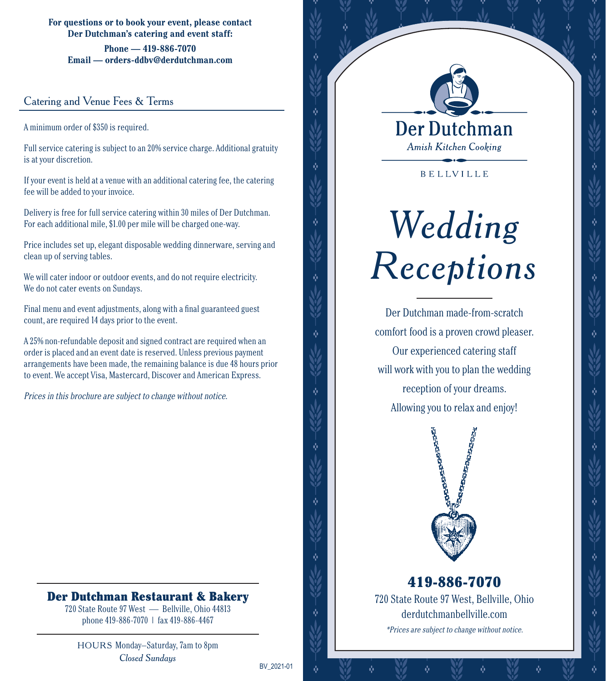**For questions or to book your event, please contact Der Dutchman's catering and event staff:**

**Phone — 419-886-7070 Email — orders-ddbv@derdutchman.com**

#### Catering and Venue Fees & Terms

A minimum order of \$350 is required.

Full service catering is subject to an 20% service charge. Additional gratuity is at your discretion.

If your event is held at a venue with an additional catering fee, the catering fee will be added to your invoice.

Delivery is free for full service catering within 30 miles of Der Dutchman. For each additional mile, \$1.00 per mile will be charged one-way.

Price includes set up, elegant disposable wedding dinnerware, serving and clean up of serving tables.

We will cater indoor or outdoor events, and do not require electricity. We do not cater events on Sundays.

Final menu and event adjustments, along with a final guaranteed guest count, are required 14 days prior to the event.

A 25% non-refundable deposit and signed contract are required when an order is placed and an event date is reserved. Unless previous payment arrangements have been made, the remaining balance is due 48 hours prior to event. We accept Visa, Mastercard, Discover and American Express.

Prices in this brochure are subject to change without notice.

### Der Dutchman Restaurant & Bakery

720 State Route 97 West — Bellville, Ohio 44813 phone 419-886-7070 | fax 419-886-4467

HOURS Monday–Saturday, 7am to 8pm *Closed Sundays*

BV\_2021-01



ŵ

Ŵ

ŵ

ŵ

ŵ

**BELLVILLE** 

# *Wedding Receptions*

Der Dutchman made-from-scratch comfort food is a proven crowd pleaser. Our experienced catering staff will work with you to plan the wedding reception of your dreams. Allowing you to relax and enjoy!



720 State Route 97 West, Bellville, Ohio derdutchmanbellville.com \*Prices are subject to change without notice. 419-886-7070